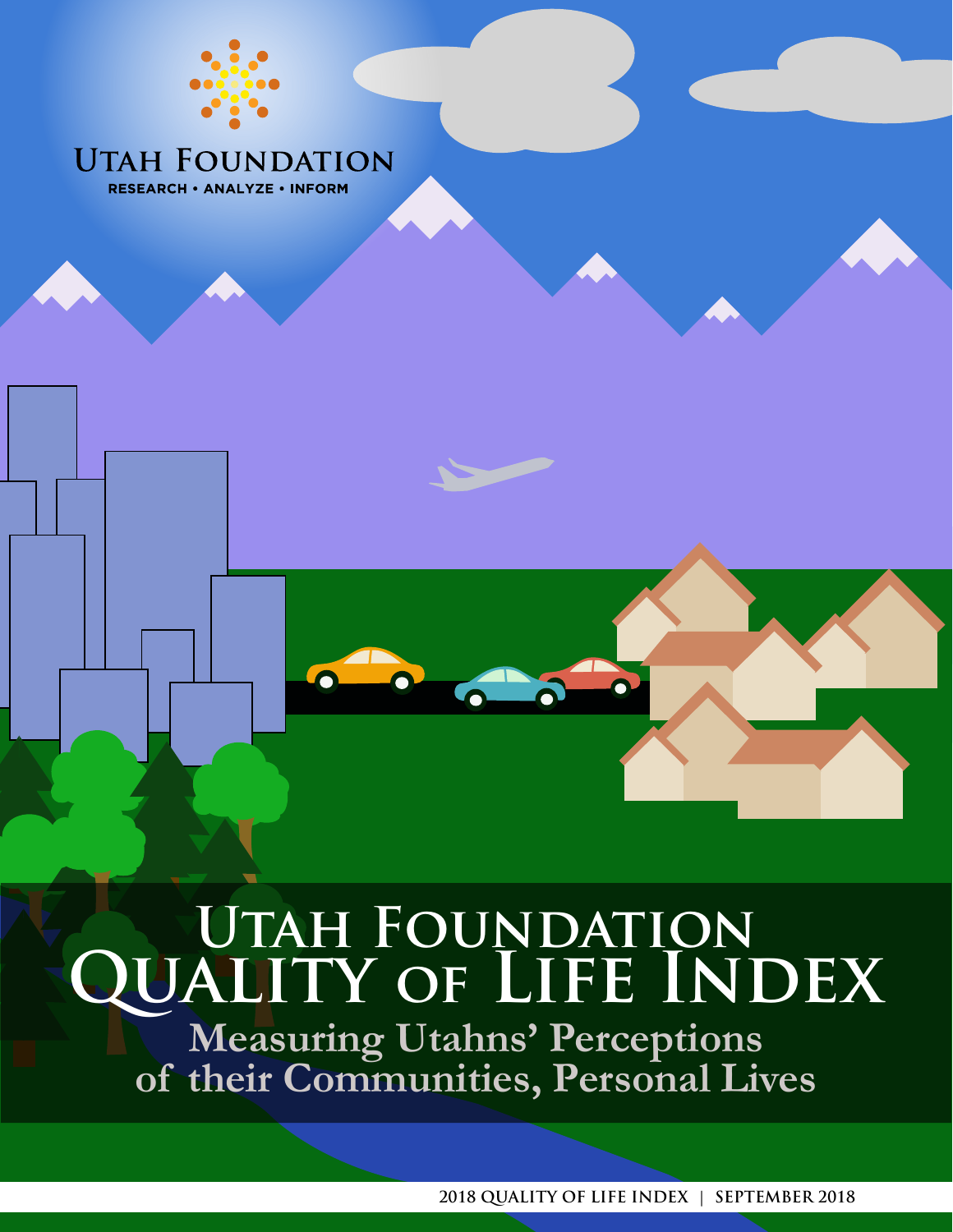

# **UTAH FOUNDATION RESEARCH • ANALYZE • INFORM**

# UTAH FOUNDATION **Quality of Life Index**

**Measuring Utahns' Perceptions of their Communities, Personal Lives**

**2018 QUALITY OF LIFE INDEX | SEPTEMBER 2018**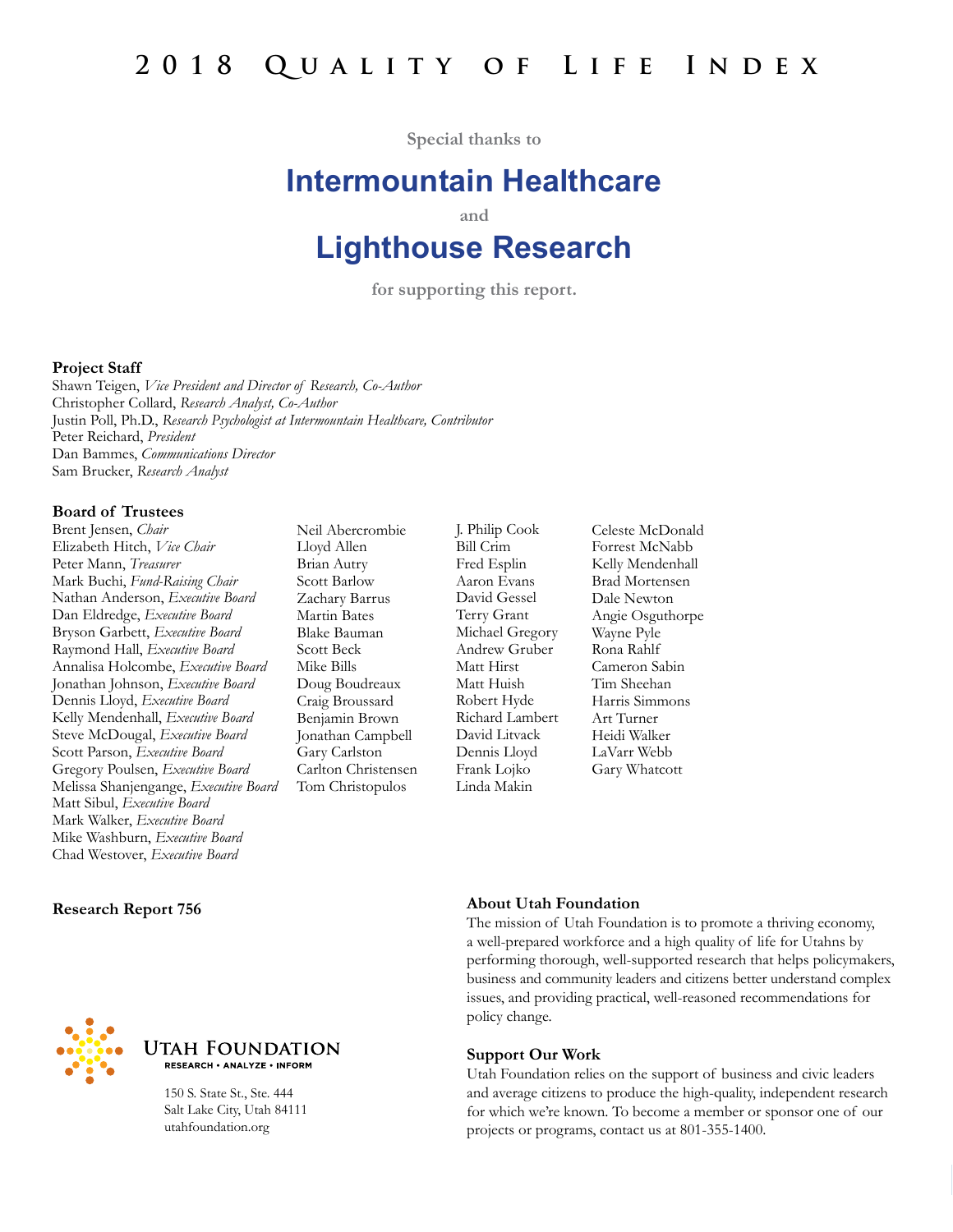**Special thanks to** 

# **Intermountain Healthcare**

**and**

# **Lighthouse Research**

**for supporting this report.**

#### **Project Staff**

Shawn Teigen, *Vice President and Director of Research, Co-Author* Christopher Collard, *Research Analyst, Co-Author* Justin Poll, Ph.D., *Research Psychologist at Intermountain Healthcare, Contributor* Peter Reichard, *President*  Dan Bammes, *Communications Director*  Sam Brucker, *Research Analyst*

#### **Board of Trustees**

Brent Jensen, *Chair* Elizabeth Hitch, *Vice Chair* Peter Mann, *Treasurer* Mark Buchi, *Fund-Raising Chair* Nathan Anderson, *Executive Board* Dan Eldredge, *Executive Board* Bryson Garbett, *Executive Board* Raymond Hall, *Executive Board* Annalisa Holcombe, *Executive Board* Jonathan Johnson, *Executive Board* Dennis Lloyd, *Executive Board* Kelly Mendenhall, *Executive Board* Steve McDougal, *Executive Board* Scott Parson, *Executive Board* Gregory Poulsen, *Executive Board* Melissa Shanjengange, *Executive Board* Matt Sibul, *Executive Board* Mark Walker, *Executive Board* Mike Washburn, *Executive Board* Chad Westover, *Executive Board*

#### **Research Report 756**

Neil Abercrombie Lloyd Allen Brian Autry Scott Barlow Zachary Barrus Martin Bates Blake Bauman Scott Beck Mike Bills Doug Boudreaux Craig Broussard Benjamin Brown Jonathan Campbell Gary Carlston Carlton Christensen Tom Christopulos

J. Philip Cook Bill Crim Fred Esplin Aaron Evans David Gessel Terry Grant Michael Gregory Andrew Gruber Matt Hirst Matt Huish Robert Hyde Richard Lambert David Litvack Dennis Lloyd Frank Lojko Linda Makin

Celeste McDonald Forrest McNabb Kelly Mendenhall Brad Mortensen Dale Newton Angie Osguthorpe Wayne Pyle Rona Rahlf Cameron Sabin Tim Sheehan Harris Simmons Art Turner Heidi Walker LaVarr Webb Gary Whatcott

#### **About Utah Foundation**

The mission of Utah Foundation is to promote a thriving economy, a well-prepared workforce and a high quality of life for Utahns by performing thorough, well-supported research that helps policymakers, business and community leaders and citizens better understand complex issues, and providing practical, well-reasoned recommendations for policy change.

#### **Support Our Work**

Utah Foundation relies on the support of business and civic leaders and average citizens to produce the high-quality, independent research for which we're known. To become a member or sponsor one of our projects or programs, contact us at 801-355-1400.



#### Utah Foundation RESEARCH . ANALYZE . INFORM

150 S. State St., Ste. 444 Salt Lake City, Utah 84111 utahfoundation.org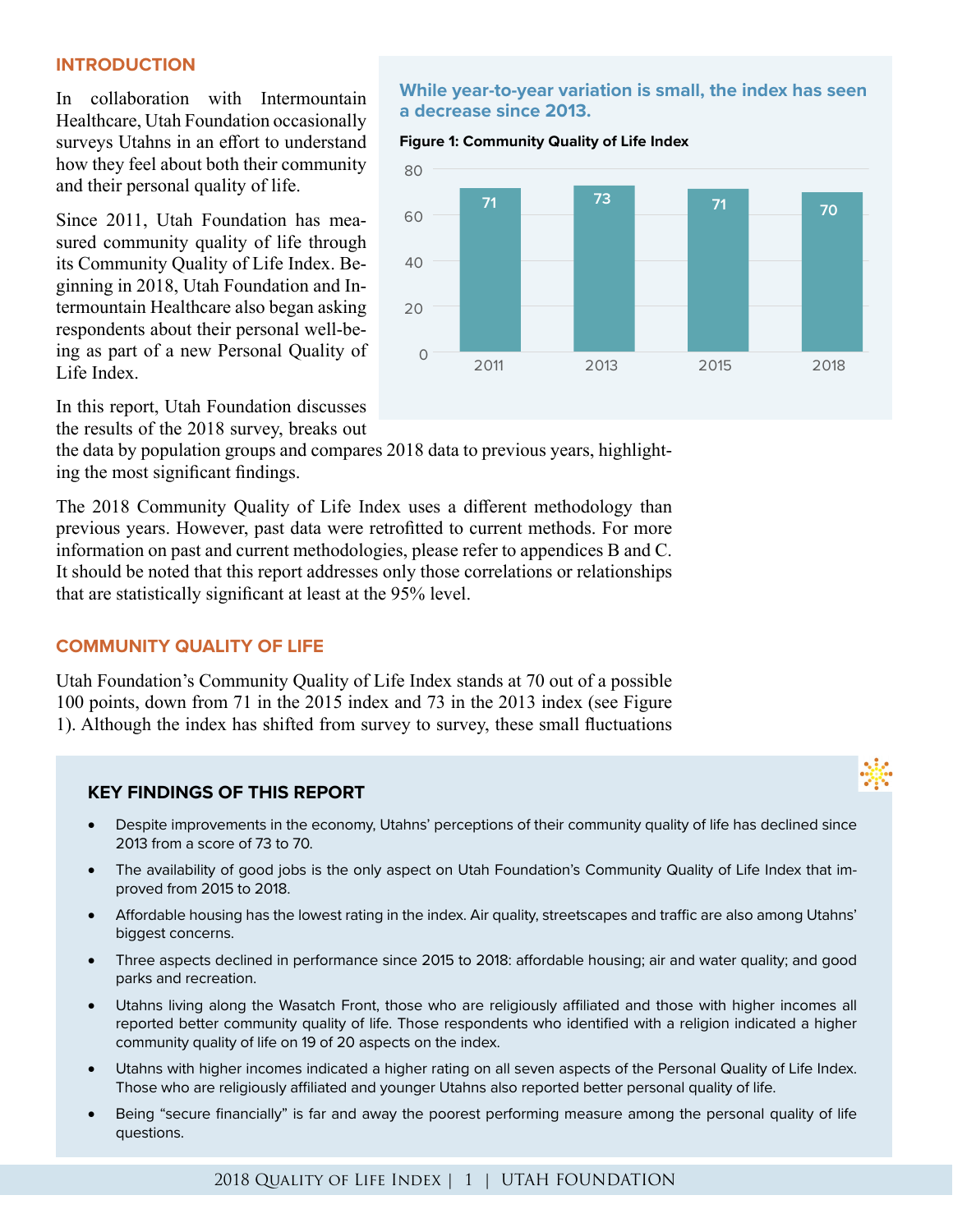#### **INTRODUCTION**

In collaboration with Intermountain Healthcare, Utah Foundation occasionally surveys Utahns in an effort to understand how they feel about both their community and their personal quality of life.

Since 2011, Utah Foundation has measured community quality of life through its Community Quality of Life Index. Beginning in 2018, Utah Foundation and Intermountain Healthcare also began asking respondents about their personal well-being as part of a new Personal Quality of Life Index.

In this report, Utah Foundation discusses the results of the 2018 survey, breaks out

the data by population groups and compares 2018 data to previous years, highlighting the most significant findings.

The 2018 Community Quality of Life Index uses a different methodology than previous years. However, past data were retrofitted to current methods. For more information on past and current methodologies, please refer to appendices B and C. It should be noted that this report addresses only those correlations or relationships that are statistically significant at least at the 95% level.

#### **COMMUNITY QUALITY OF LIFE**

Utah Foundation's Community Quality of Life Index stands at 70 out of a possible 100 points, down from 71 in the 2015 index and 73 in the 2013 index (see Figure 1). Although the index has shifted from survey to survey, these small fluctuations

#### **KEY FINDINGS OF THIS REPORT**

- Despite improvements in the economy, Utahns' perceptions of their community quality of life has declined since 2013 from a score of 73 to 70.
- The availability of good jobs is the only aspect on Utah Foundation's Community Quality of Life Index that improved from 2015 to 2018.
- Affordable housing has the lowest rating in the index. Air quality, streetscapes and traffic are also among Utahns' biggest concerns.
- Three aspects declined in performance since 2015 to 2018: affordable housing; air and water quality; and good parks and recreation.
- Utahns living along the Wasatch Front, those who are religiously affiliated and those with higher incomes all reported better community quality of life. Those respondents who identified with a religion indicated a higher community quality of life on 19 of 20 aspects on the index.
- Utahns with higher incomes indicated a higher rating on all seven aspects of the Personal Quality of Life Index. Those who are religiously affiliated and younger Utahns also reported better personal quality of life.
- Being "secure financially" is far and away the poorest performing measure among the personal quality of life questions.

#### **While year-to-year variation is small, the index has seen a decrease since 2013.**

**Figure 1: Community Quality of Life Index**



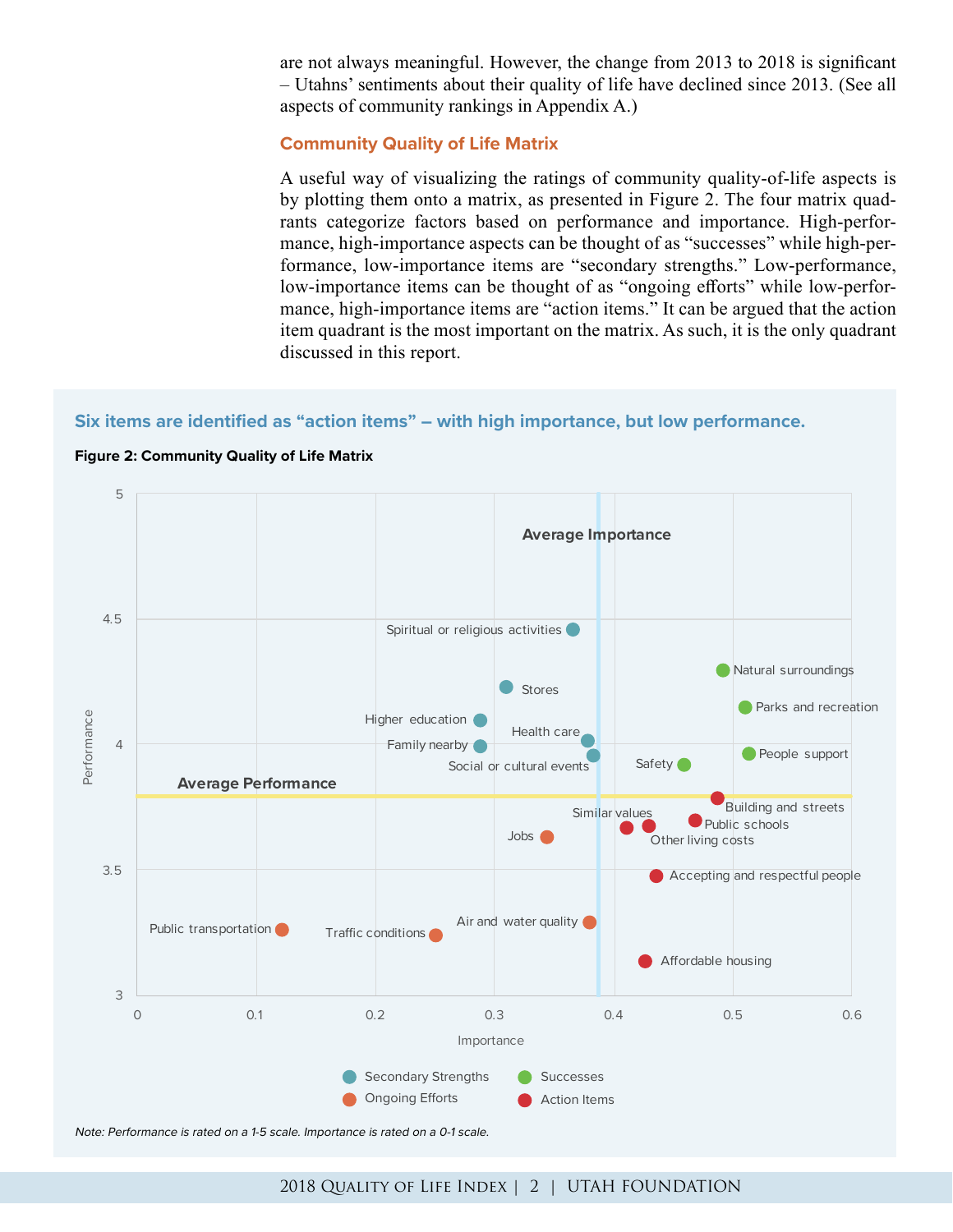are not always meaningful. However, the change from 2013 to 2018 is significant – Utahns' sentiments about their quality of life have declined since 2013. (See all aspects of community rankings in Appendix A.)

#### **Community Quality of Life Matrix**

A useful way of visualizing the ratings of community quality-of-life aspects is by plotting them onto a matrix, as presented in Figure 2. The four matrix quadrants categorize factors based on performance and importance. High-performance, high-importance aspects can be thought of as "successes" while high-performance, low-importance items are "secondary strengths." Low-performance, low-importance items can be thought of as "ongoing efforts" while low-performance, high-importance items are "action items." It can be argued that the action item quadrant is the most important on the matrix. As such, it is the only quadrant discussed in this report.

#### **Six items are identified as "action items" – with high importance, but low performance.**





Note: Performance is rated on a 1-5 scale. Importance is rated on a 0-1 scale.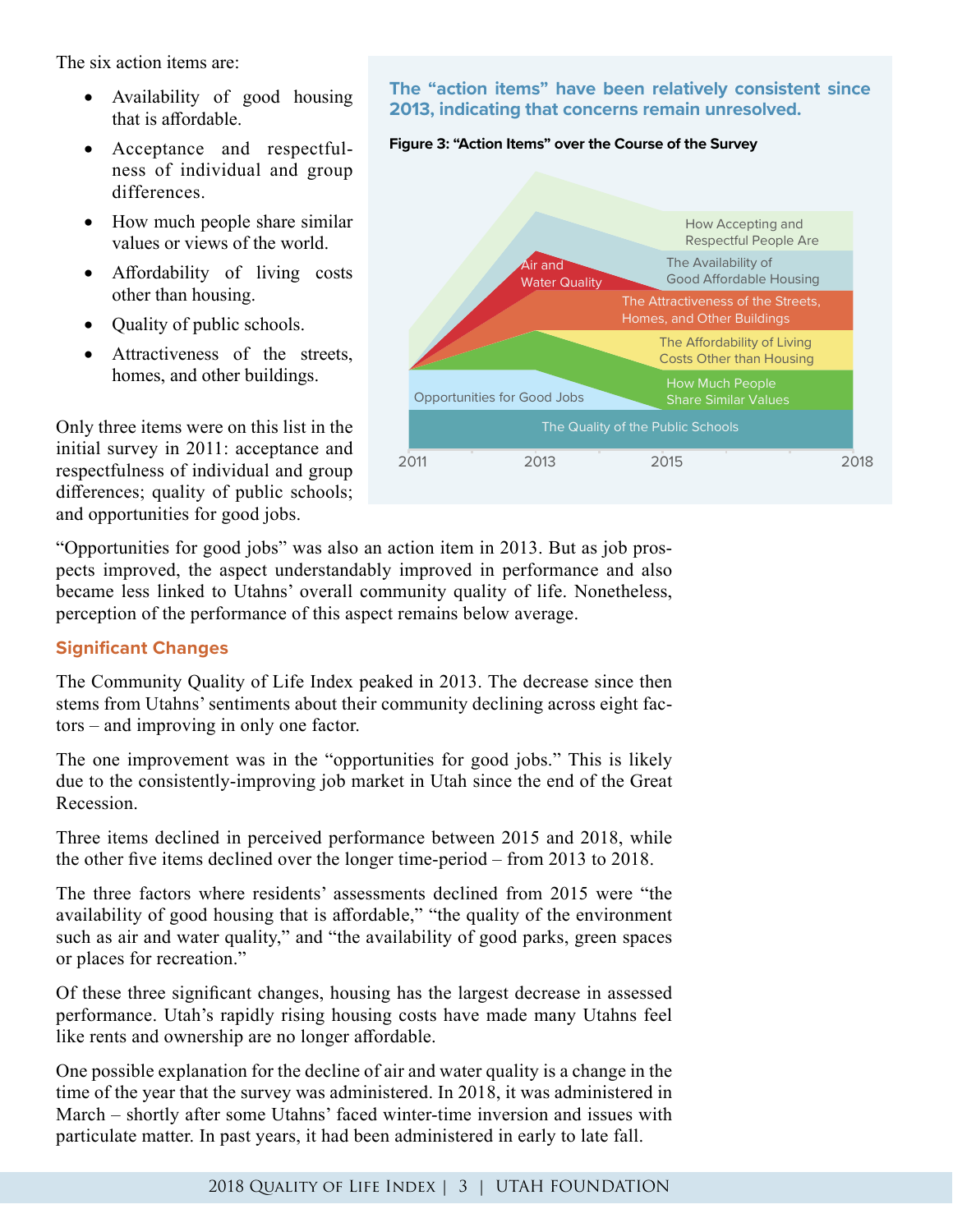The six action items are:

- Availability of good housing that is affordable.
- Acceptance and respectfulness of individual and group differences.
- How much people share similar values or views of the world.
- • Affordability of living costs other than housing.
- Quality of public schools.
- Attractiveness of the streets, homes, and other buildings.

Only three items were on this list in the initial survey in 2011: acceptance and respectfulness of individual and group differences; quality of public schools; and opportunities for good jobs.

# **The "action items" have been relatively consistent since 2013, indicating that concerns remain unresolved.**





"Opportunities for good jobs" was also an action item in 2013. But as job prospects improved, the aspect understandably improved in performance and also became less linked to Utahns' overall community quality of life. Nonetheless, perception of the performance of this aspect remains below average.

# **Significant Changes**

The Community Quality of Life Index peaked in 2013. The decrease since then stems from Utahns' sentiments about their community declining across eight factors – and improving in only one factor.

The one improvement was in the "opportunities for good jobs." This is likely due to the consistently-improving job market in Utah since the end of the Great Recession.

Three items declined in perceived performance between 2015 and 2018, while the other five items declined over the longer time-period – from 2013 to 2018.

The three factors where residents' assessments declined from 2015 were "the availability of good housing that is affordable," "the quality of the environment such as air and water quality," and "the availability of good parks, green spaces or places for recreation."

Of these three significant changes, housing has the largest decrease in assessed performance. Utah's rapidly rising housing costs have made many Utahns feel like rents and ownership are no longer affordable.

One possible explanation for the decline of air and water quality is a change in the time of the year that the survey was administered. In 2018, it was administered in March – shortly after some Utahns' faced winter-time inversion and issues with particulate matter. In past years, it had been administered in early to late fall.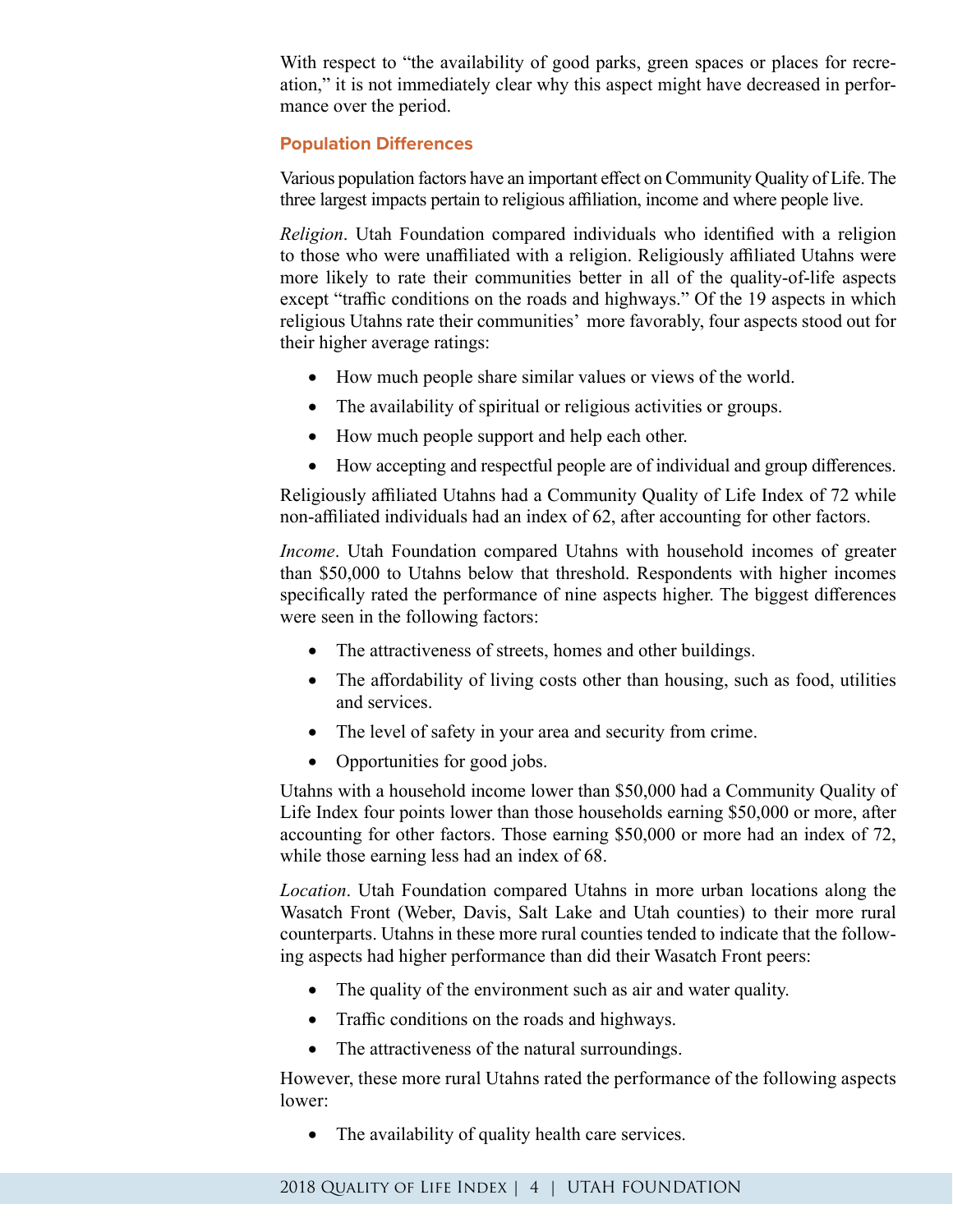With respect to "the availability of good parks, green spaces or places for recreation," it is not immediately clear why this aspect might have decreased in performance over the period.

#### **Population Differences**

Various population factors have an important effect on Community Quality of Life. The three largest impacts pertain to religious affiliation, income and where people live.

*Religion*. Utah Foundation compared individuals who identified with a religion to those who were unaffiliated with a religion. Religiously affiliated Utahns were more likely to rate their communities better in all of the quality-of-life aspects except "traffic conditions on the roads and highways." Of the 19 aspects in which religious Utahns rate their communities' more favorably, four aspects stood out for their higher average ratings:

- How much people share similar values or views of the world.
- The availability of spiritual or religious activities or groups.
- How much people support and help each other.
- How accepting and respectful people are of individual and group differences.

Religiously affiliated Utahns had a Community Quality of Life Index of 72 while non-affiliated individuals had an index of 62, after accounting for other factors.

*Income*. Utah Foundation compared Utahns with household incomes of greater than \$50,000 to Utahns below that threshold. Respondents with higher incomes specifically rated the performance of nine aspects higher. The biggest differences were seen in the following factors:

- The attractiveness of streets, homes and other buildings.
- The affordability of living costs other than housing, such as food, utilities and services.
- The level of safety in your area and security from crime.
- Opportunities for good jobs.

Utahns with a household income lower than \$50,000 had a Community Quality of Life Index four points lower than those households earning \$50,000 or more, after accounting for other factors. Those earning \$50,000 or more had an index of 72, while those earning less had an index of 68.

*Location*. Utah Foundation compared Utahns in more urban locations along the Wasatch Front (Weber, Davis, Salt Lake and Utah counties) to their more rural counterparts. Utahns in these more rural counties tended to indicate that the following aspects had higher performance than did their Wasatch Front peers:

- The quality of the environment such as air and water quality.
- Traffic conditions on the roads and highways.
- The attractiveness of the natural surroundings.

However, these more rural Utahns rated the performance of the following aspects lower:

• The availability of quality health care services.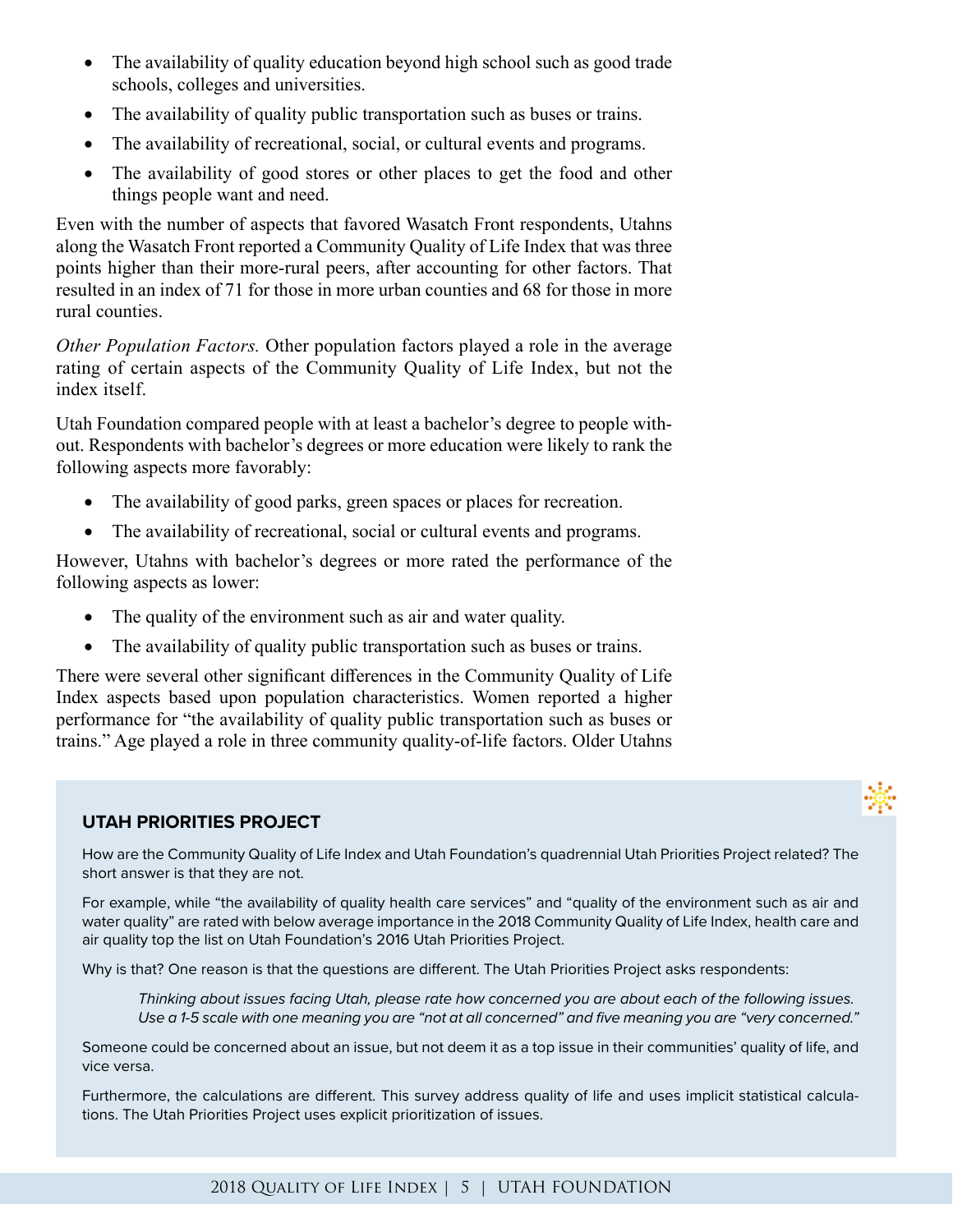- The availability of quality education beyond high school such as good trade schools, colleges and universities.
- The availability of quality public transportation such as buses or trains.
- The availability of recreational, social, or cultural events and programs.
- The availability of good stores or other places to get the food and other things people want and need.

Even with the number of aspects that favored Wasatch Front respondents, Utahns along the Wasatch Front reported a Community Quality of Life Index that was three points higher than their more-rural peers, after accounting for other factors. That resulted in an index of 71 for those in more urban counties and 68 for those in more rural counties.

*Other Population Factors.* Other population factors played a role in the average rating of certain aspects of the Community Quality of Life Index, but not the index itself.

Utah Foundation compared people with at least a bachelor's degree to people without. Respondents with bachelor's degrees or more education were likely to rank the following aspects more favorably:

- The availability of good parks, green spaces or places for recreation.
- The availability of recreational, social or cultural events and programs.

However, Utahns with bachelor's degrees or more rated the performance of the following aspects as lower:

- The quality of the environment such as air and water quality.
- The availability of quality public transportation such as buses or trains.

There were several other significant differences in the Community Quality of Life Index aspects based upon population characteristics. Women reported a higher performance for "the availability of quality public transportation such as buses or trains." Age played a role in three community quality-of-life factors. Older Utahns

## **UTAH PRIORITIES PROJECT**

How are the Community Quality of Life Index and Utah Foundation's quadrennial Utah Priorities Project related? The short answer is that they are not.

For example, while "the availability of quality health care services" and "quality of the environment such as air and water quality" are rated with below average importance in the 2018 Community Quality of Life Index, health care and air quality top the list on Utah Foundation's 2016 Utah Priorities Project.

Why is that? One reason is that the questions are different. The Utah Priorities Project asks respondents:

*Thinking about issues facing Utah, please rate how concerned you are about each of the following issues. Use a 1-5 scale with one meaning you are "not at all concerned" and five meaning you are "very concerned."*

Someone could be concerned about an issue, but not deem it as a top issue in their communities' quality of life, and vice versa.

Furthermore, the calculations are different. This survey address quality of life and uses implicit statistical calculations. The Utah Priorities Project uses explicit prioritization of issues.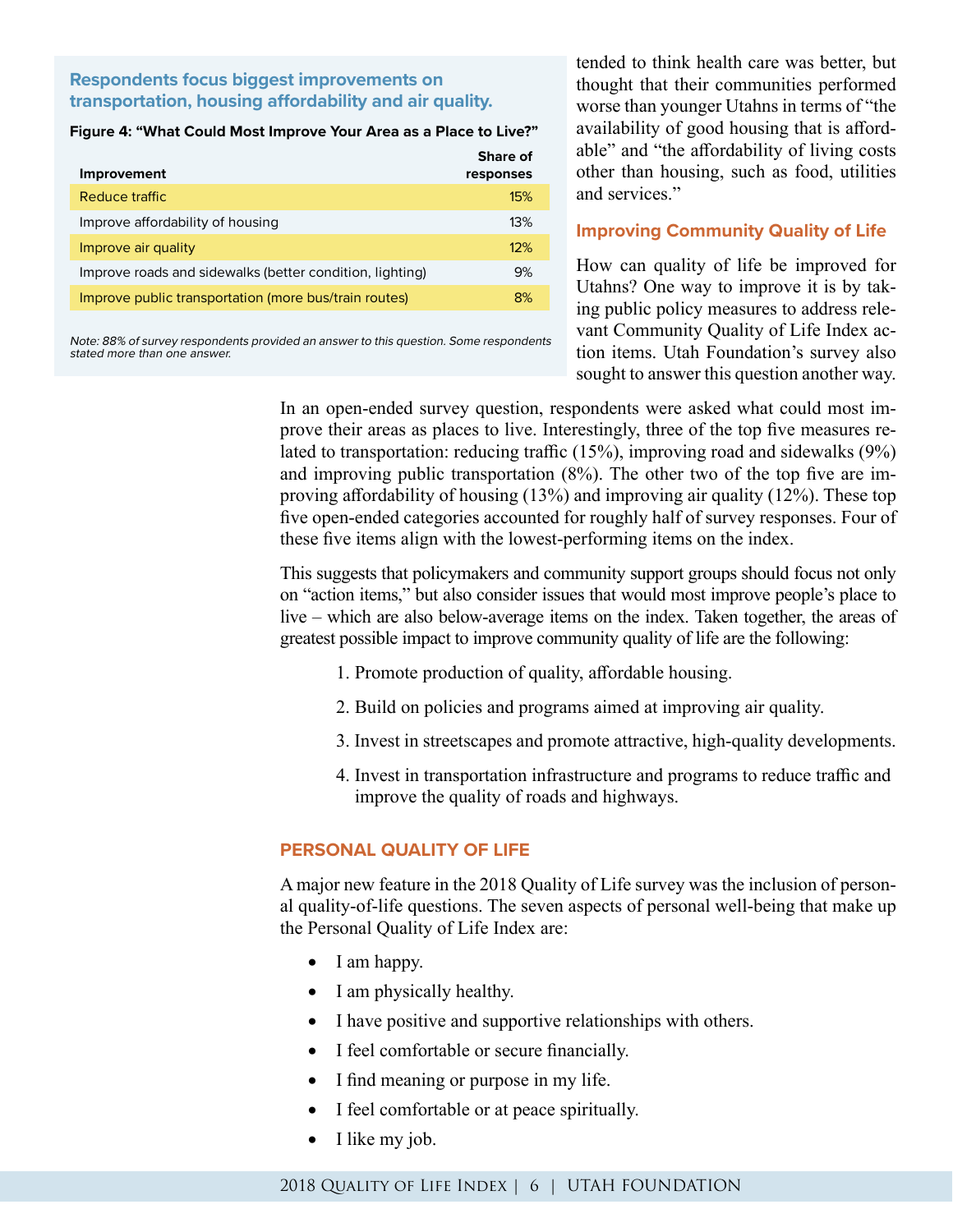# **Respondents focus biggest improvements on transportation, housing affordability and air quality.**

#### **Figure 4: "What Could Most Improve Your Area as a Place to Live?"**

| <b>Improvement</b>                                       | <b>Share of</b><br>responses |
|----------------------------------------------------------|------------------------------|
| Reduce traffic                                           | 15%                          |
| Improve affordability of housing                         | 13%                          |
| Improve air quality                                      | 12%                          |
| Improve roads and sidewalks (better condition, lighting) | 9%                           |
| Improve public transportation (more bus/train routes)    | 8%                           |

Note: 88% of survey respondents provided an answer to this question. Some respondents stated more than one answer.

tended to think health care was better, but thought that their communities performed worse than younger Utahns in terms of "the availability of good housing that is affordable" and "the affordability of living costs other than housing, such as food, utilities and services."

# **Improving Community Quality of Life**

How can quality of life be improved for Utahns? One way to improve it is by taking public policy measures to address relevant Community Quality of Life Index action items. Utah Foundation's survey also sought to answer this question another way.

In an open-ended survey question, respondents were asked what could most improve their areas as places to live. Interestingly, three of the top five measures related to transportation: reducing traffic (15%), improving road and sidewalks (9%) and improving public transportation (8%). The other two of the top five are improving affordability of housing (13%) and improving air quality (12%). These top five open-ended categories accounted for roughly half of survey responses. Four of these five items align with the lowest-performing items on the index.

This suggests that policymakers and community support groups should focus not only on "action items," but also consider issues that would most improve people's place to live – which are also below-average items on the index. Taken together, the areas of greatest possible impact to improve community quality of life are the following:

- 1. Promote production of quality, affordable housing.
- 2. Build on policies and programs aimed at improving air quality.
- 3. Invest in streetscapes and promote attractive, high-quality developments.
- 4. Invest in transportation infrastructure and programs to reduce traffic and improve the quality of roads and highways.

## **PERSONAL QUALITY OF LIFE**

A major new feature in the 2018 Quality of Life survey was the inclusion of personal quality-of-life questions. The seven aspects of personal well-being that make up the Personal Quality of Life Index are:

- I am happy.
- I am physically healthy.
- I have positive and supportive relationships with others.
- • I feel comfortable or secure financially.
- I find meaning or purpose in my life.
- I feel comfortable or at peace spiritually.
- I like my job.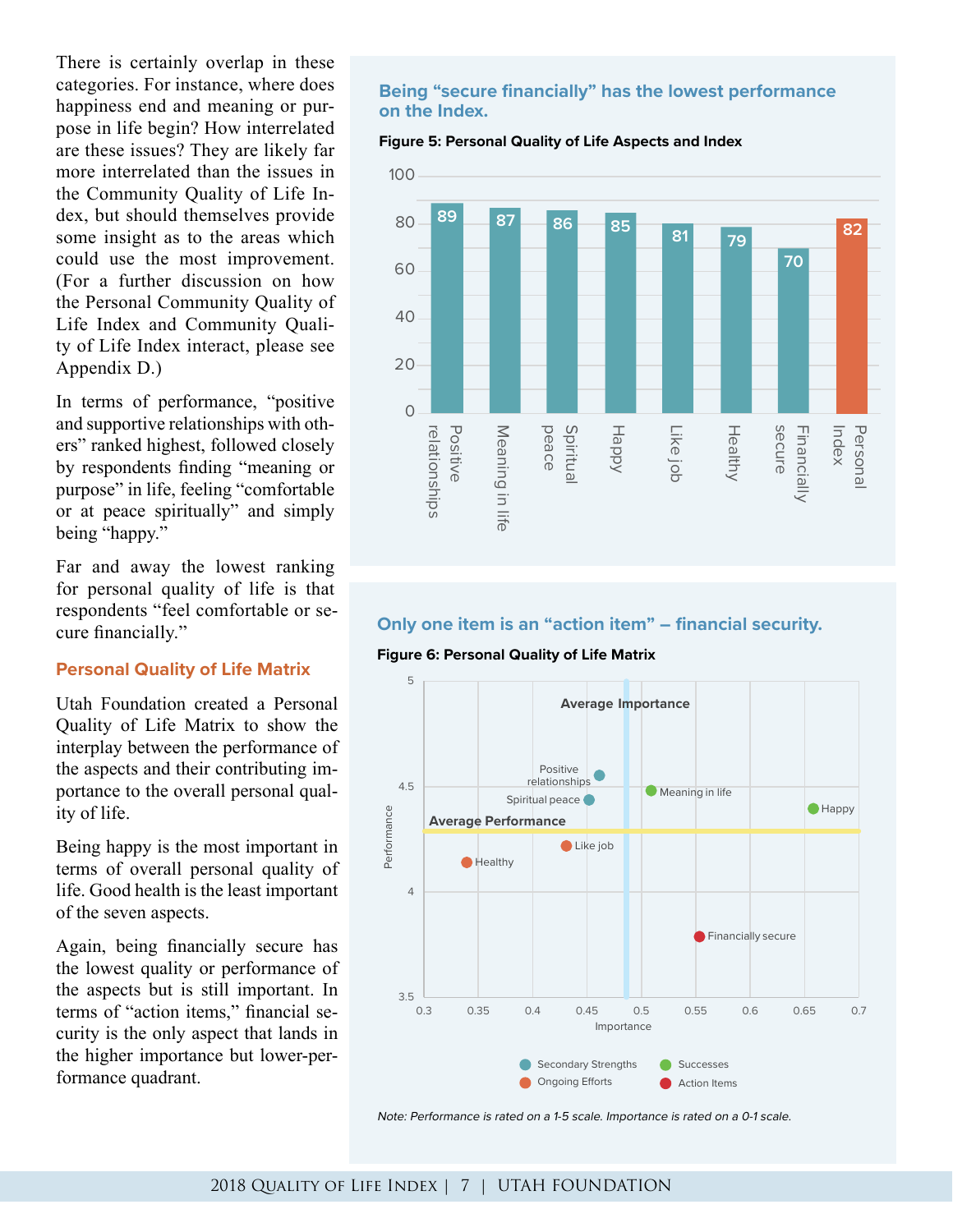There is certainly overlap in these categories. For instance, where does happiness end and meaning or purpose in life begin? How interrelated are these issues? They are likely far more interrelated than the issues in the Community Quality of Life Index, but should themselves provide some insight as to the areas which could use the most improvement. (For a further discussion on how the Personal Community Quality of Life Index and Community Quality of Life Index interact, please see Appendix D.)

In terms of performance, "positive and supportive relationships with others" ranked highest, followed closely by respondents finding "meaning or purpose" in life, feeling "comfortable or at peace spiritually" and simply being "happy."

Far and away the lowest ranking for personal quality of life is that respondents "feel comfortable or secure financially."

#### **Personal Quality of Life Matrix**

Utah Foundation created a Personal Quality of Life Matrix to show the interplay between the performance of the aspects and their contributing importance to the overall personal quality of life.

Being happy is the most important in terms of overall personal quality of life. Good health is the least important of the seven aspects.

Again, being financially secure has the lowest quality or performance of the aspects but is still important. In terms of "action items," financial security is the only aspect that lands in the higher importance but lower-performance quadrant.

## **Being "secure financially" has the lowest performance on the Index.**





## **Only one item is an "action item" – financial security.**

#### **Figure 6: Personal Quality of Life Matrix**



Note: Performance is rated on a 1-5 scale. Importance is rated on a 0-1 scale.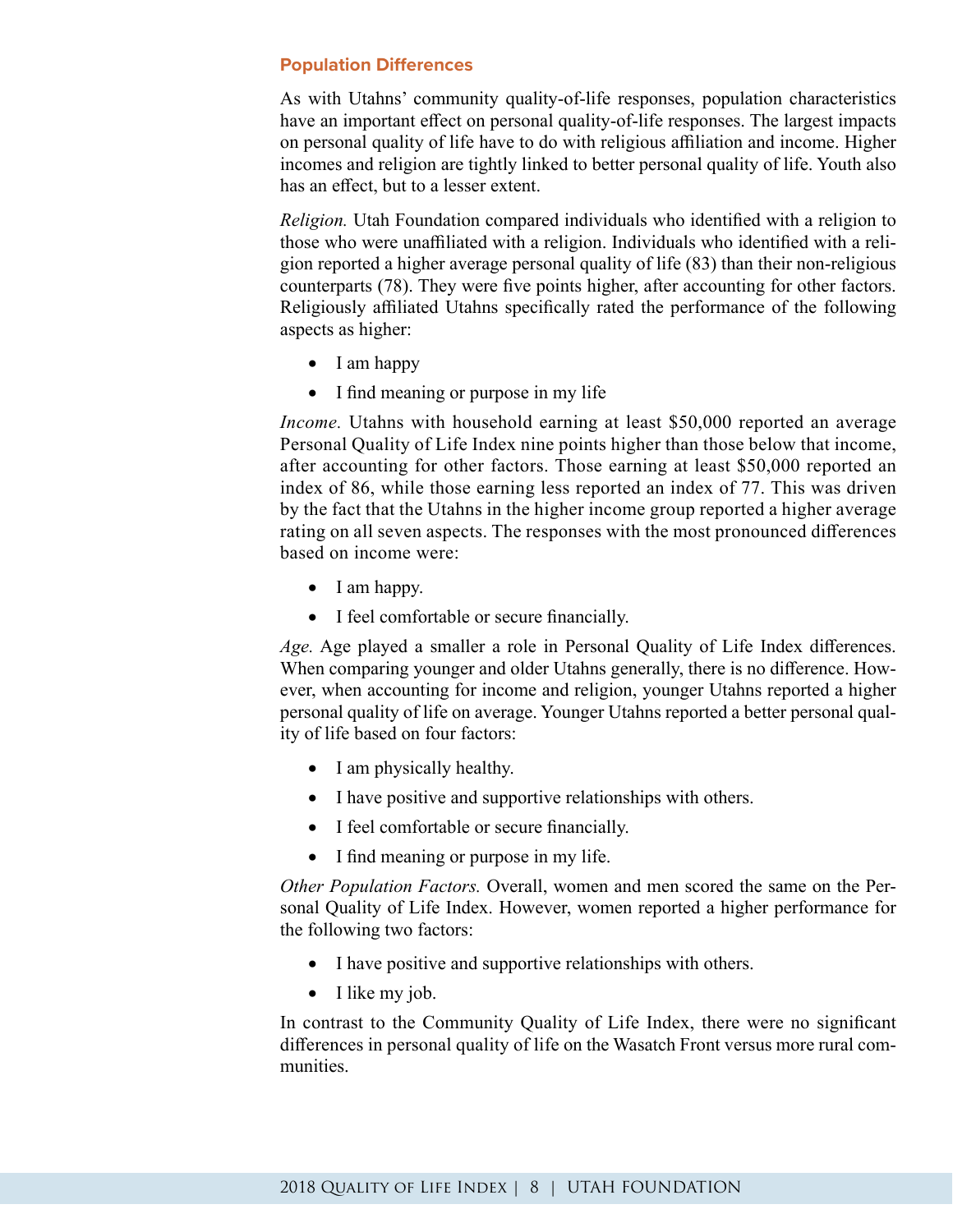## **Population Differences**

As with Utahns' community quality-of-life responses, population characteristics have an important effect on personal quality-of-life responses. The largest impacts on personal quality of life have to do with religious affiliation and income. Higher incomes and religion are tightly linked to better personal quality of life. Youth also has an effect, but to a lesser extent.

*Religion.* Utah Foundation compared individuals who identified with a religion to those who were unaffiliated with a religion. Individuals who identified with a religion reported a higher average personal quality of life (83) than their non-religious counterparts (78). They were five points higher, after accounting for other factors. Religiously affiliated Utahns specifically rated the performance of the following aspects as higher:

- I am happy
- I find meaning or purpose in my life

*Income.* Utahns with household earning at least \$50,000 reported an average Personal Quality of Life Index nine points higher than those below that income, after accounting for other factors. Those earning at least \$50,000 reported an index of 86, while those earning less reported an index of 77. This was driven by the fact that the Utahns in the higher income group reported a higher average rating on all seven aspects. The responses with the most pronounced differences based on income were:

- • I am happy.
- • I feel comfortable or secure financially.

*Age.* Age played a smaller a role in Personal Quality of Life Index differences. When comparing younger and older Utahns generally, there is no difference. However, when accounting for income and religion, younger Utahns reported a higher personal quality of life on average. Younger Utahns reported a better personal quality of life based on four factors:

- I am physically healthy.
- I have positive and supportive relationships with others.
- I feel comfortable or secure financially.
- I find meaning or purpose in my life.

*Other Population Factors.* Overall, women and men scored the same on the Personal Quality of Life Index. However, women reported a higher performance for the following two factors:

- I have positive and supportive relationships with others.
- $\bullet$  I like my job.

In contrast to the Community Quality of Life Index, there were no significant differences in personal quality of life on the Wasatch Front versus more rural communities.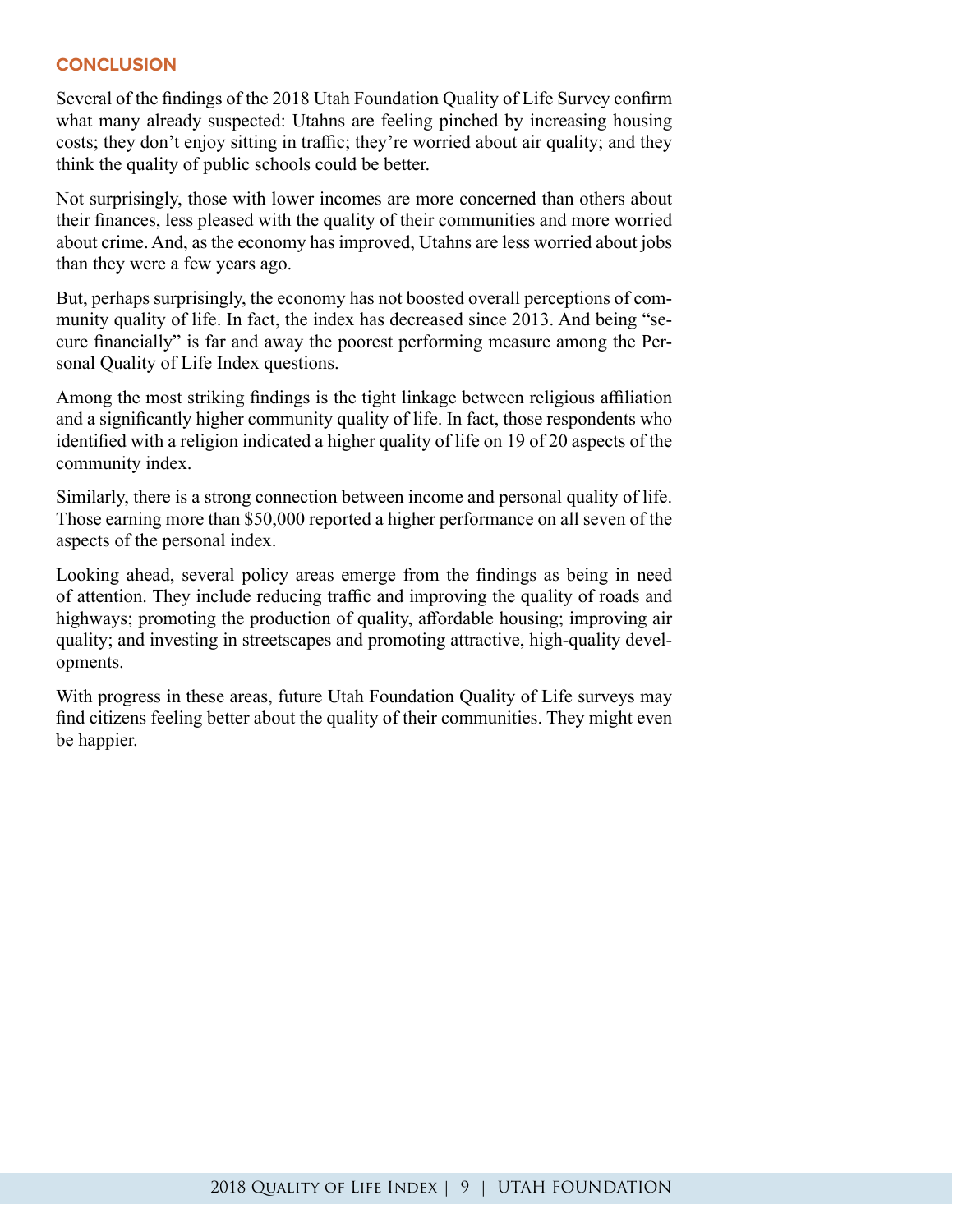#### **CONCLUSION**

Several of the findings of the 2018 Utah Foundation Quality of Life Survey confirm what many already suspected: Utahns are feeling pinched by increasing housing costs; they don't enjoy sitting in traffic; they're worried about air quality; and they think the quality of public schools could be better.

Not surprisingly, those with lower incomes are more concerned than others about their finances, less pleased with the quality of their communities and more worried about crime. And, as the economy has improved, Utahns are less worried about jobs than they were a few years ago.

But, perhaps surprisingly, the economy has not boosted overall perceptions of community quality of life. In fact, the index has decreased since 2013. And being "secure financially" is far and away the poorest performing measure among the Personal Quality of Life Index questions.

Among the most striking findings is the tight linkage between religious affiliation and a significantly higher community quality of life. In fact, those respondents who identified with a religion indicated a higher quality of life on 19 of 20 aspects of the community index.

Similarly, there is a strong connection between income and personal quality of life. Those earning more than \$50,000 reported a higher performance on all seven of the aspects of the personal index.

Looking ahead, several policy areas emerge from the findings as being in need of attention. They include reducing traffic and improving the quality of roads and highways; promoting the production of quality, affordable housing; improving air quality; and investing in streetscapes and promoting attractive, high-quality developments.

With progress in these areas, future Utah Foundation Quality of Life surveys may find citizens feeling better about the quality of their communities. They might even be happier.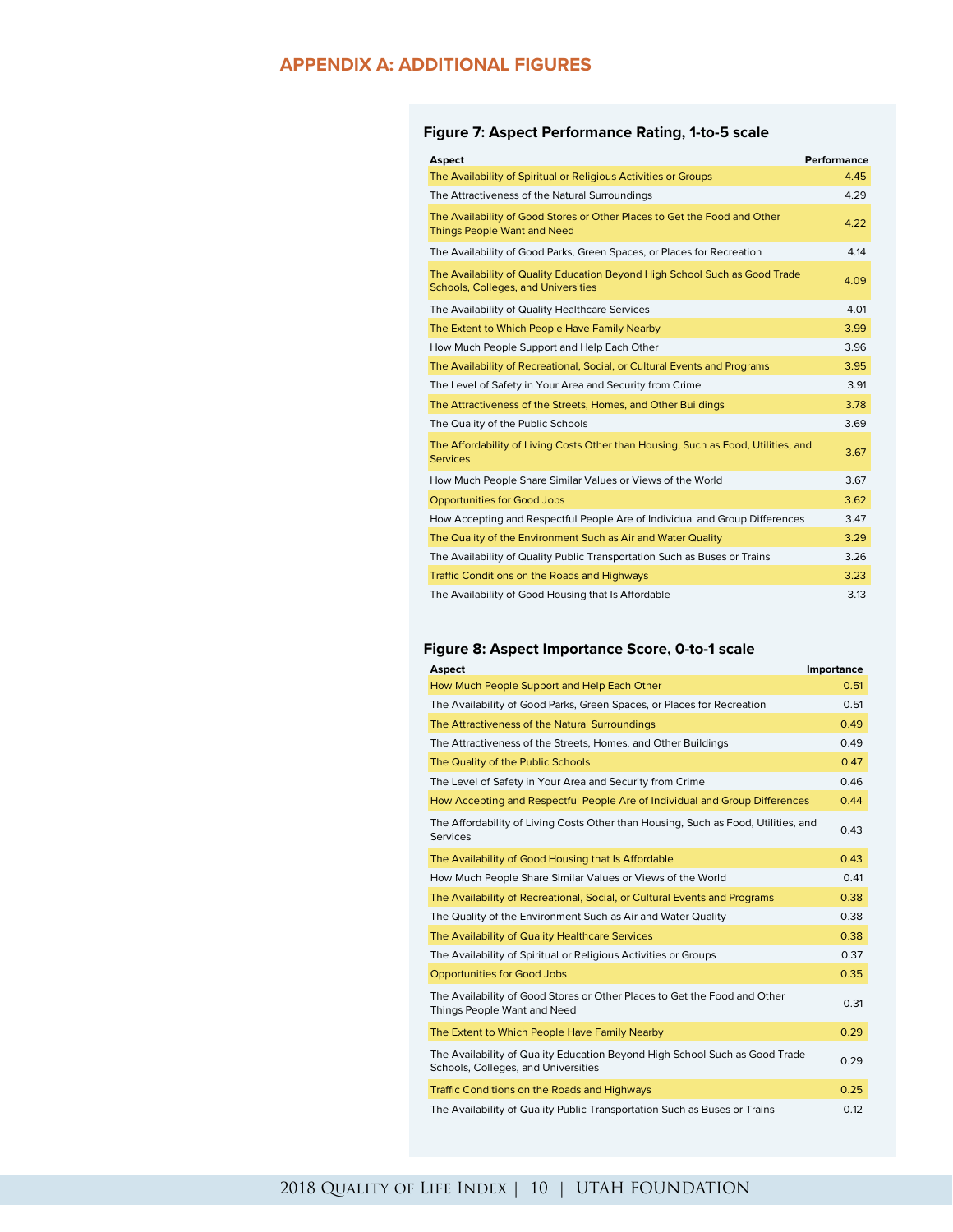#### **Figure 7: Aspect Performance Rating, 1-to-5 scale**

| Aspect                                                                                                             | Performance |
|--------------------------------------------------------------------------------------------------------------------|-------------|
| The Availability of Spiritual or Religious Activities or Groups                                                    | 4.45        |
| The Attractiveness of the Natural Surroundings                                                                     | 4.29        |
| The Availability of Good Stores or Other Places to Get the Food and Other<br><b>Things People Want and Need</b>    | 4.22        |
| The Availability of Good Parks, Green Spaces, or Places for Recreation                                             | 4.14        |
| The Availability of Quality Education Beyond High School Such as Good Trade<br>Schools, Colleges, and Universities | 4.09        |
| The Availability of Quality Healthcare Services                                                                    | 4.01        |
| The Extent to Which People Have Family Nearby                                                                      | 3.99        |
| How Much People Support and Help Each Other                                                                        | 3.96        |
| The Availability of Recreational, Social, or Cultural Events and Programs                                          | 3.95        |
| The Level of Safety in Your Area and Security from Crime                                                           | 3.91        |
| The Attractiveness of the Streets, Homes, and Other Buildings                                                      | 3.78        |
| The Quality of the Public Schools                                                                                  | 3.69        |
| The Affordability of Living Costs Other than Housing, Such as Food, Utilities, and<br><b>Services</b>              | 3.67        |
| How Much People Share Similar Values or Views of the World                                                         | 3.67        |
| <b>Opportunities for Good Jobs</b>                                                                                 | 3.62        |
| How Accepting and Respectful People Are of Individual and Group Differences                                        | 3.47        |
| The Quality of the Environment Such as Air and Water Quality                                                       | 3.29        |
| The Availability of Quality Public Transportation Such as Buses or Trains                                          | 3.26        |
| <b>Traffic Conditions on the Roads and Highways</b>                                                                | 3.23        |
| The Availability of Good Housing that Is Affordable                                                                | 3.13        |

#### **Figure 8: Aspect Importance Score, 0-to-1 scale**

| Aspect                                                                                                             | Importance |
|--------------------------------------------------------------------------------------------------------------------|------------|
| How Much People Support and Help Each Other                                                                        | 0.51       |
| The Availability of Good Parks, Green Spaces, or Places for Recreation                                             | 0.51       |
| The Attractiveness of the Natural Surroundings                                                                     | 0.49       |
| The Attractiveness of the Streets, Homes, and Other Buildings                                                      | 0.49       |
| The Quality of the Public Schools                                                                                  | 0.47       |
| The Level of Safety in Your Area and Security from Crime                                                           | 0.46       |
| How Accepting and Respectful People Are of Individual and Group Differences                                        | 0.44       |
| The Affordability of Living Costs Other than Housing, Such as Food, Utilities, and<br><b>Services</b>              | 0.43       |
| The Availability of Good Housing that Is Affordable                                                                | 0.43       |
| How Much People Share Similar Values or Views of the World                                                         | 0.41       |
| The Availability of Recreational, Social, or Cultural Events and Programs                                          | 0.38       |
| The Quality of the Environment Such as Air and Water Quality                                                       | 0.38       |
| The Availability of Quality Healthcare Services                                                                    | 0.38       |
| The Availability of Spiritual or Religious Activities or Groups                                                    | 0.37       |
| <b>Opportunities for Good Jobs</b>                                                                                 | 0.35       |
| The Availability of Good Stores or Other Places to Get the Food and Other<br>Things People Want and Need           | 0.31       |
| The Extent to Which People Have Family Nearby                                                                      | 0.29       |
| The Availability of Quality Education Beyond High School Such as Good Trade<br>Schools, Colleges, and Universities | 0.29       |
| <b>Traffic Conditions on the Roads and Highways</b>                                                                | 0.25       |
| The Availability of Quality Public Transportation Such as Buses or Trains                                          | 0.12       |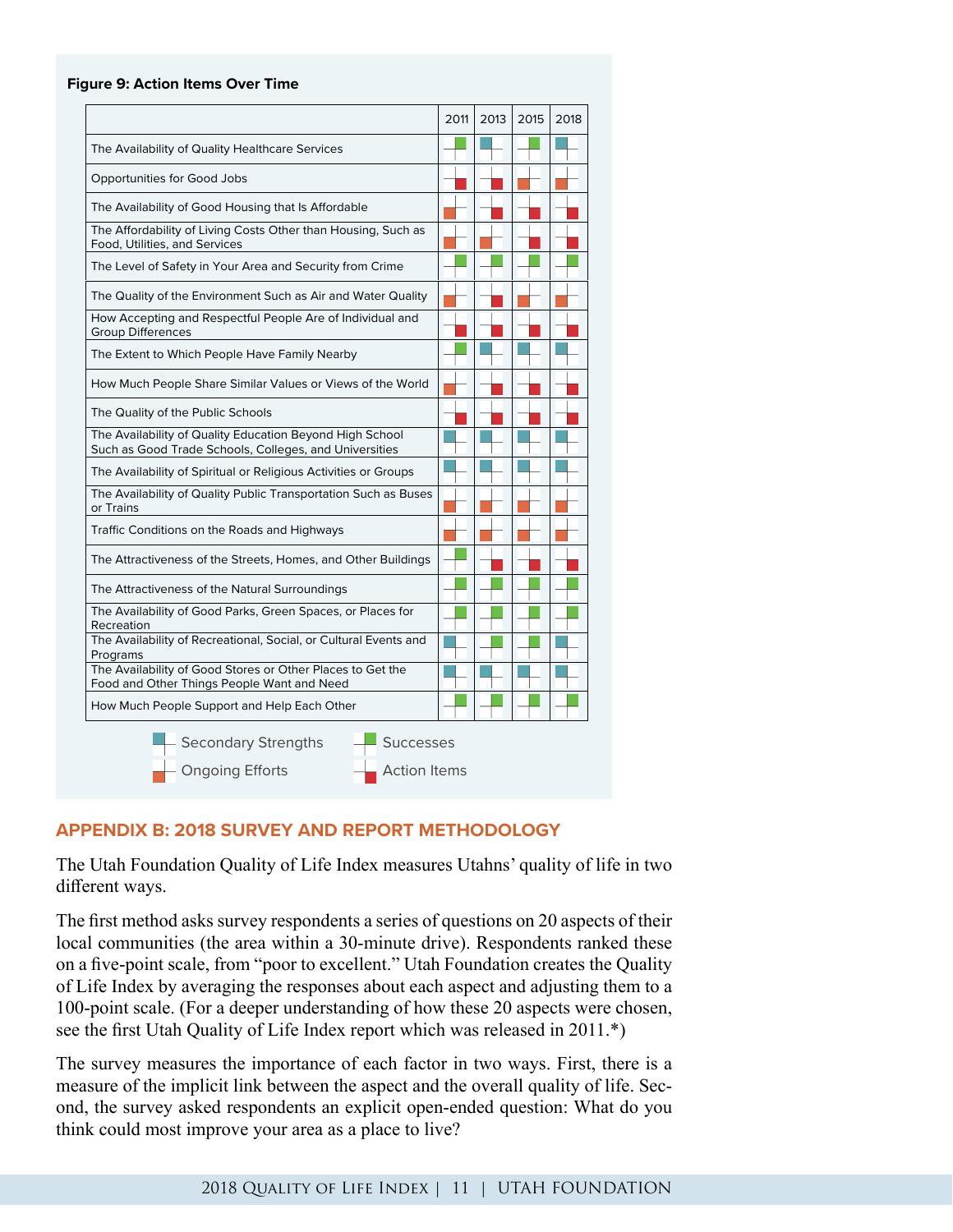#### **Figure 9: Action Items Over Time**

|                                                                                                                    | 2011 | 2013 | 2015 | 2018 |
|--------------------------------------------------------------------------------------------------------------------|------|------|------|------|
| The Availability of Quality Healthcare Services                                                                    |      |      |      |      |
| Opportunities for Good Jobs                                                                                        |      |      |      |      |
| The Availability of Good Housing that Is Affordable                                                                |      |      |      |      |
| The Affordability of Living Costs Other than Housing, Such as<br>Food, Utilities, and Services                     |      |      |      |      |
| The Level of Safety in Your Area and Security from Crime                                                           |      |      |      |      |
| The Quality of the Environment Such as Air and Water Quality                                                       |      |      |      |      |
| How Accepting and Respectful People Are of Individual and<br><b>Group Differences</b>                              |      |      |      |      |
| The Extent to Which People Have Family Nearby                                                                      |      |      |      |      |
| How Much People Share Similar Values or Views of the World                                                         |      |      |      |      |
| The Quality of the Public Schools                                                                                  |      |      |      |      |
| The Availability of Quality Education Beyond High School<br>Such as Good Trade Schools, Colleges, and Universities |      |      |      |      |
| The Availability of Spiritual or Religious Activities or Groups                                                    |      |      |      |      |
| The Availability of Quality Public Transportation Such as Buses<br>or Trains                                       |      |      |      |      |
| Traffic Conditions on the Roads and Highways                                                                       |      |      |      |      |
| The Attractiveness of the Streets, Homes, and Other Buildings                                                      |      |      |      |      |
| The Attractiveness of the Natural Surroundings                                                                     |      |      |      |      |
| The Availability of Good Parks, Green Spaces, or Places for<br>Recreation                                          |      |      |      |      |
| The Availability of Recreational, Social, or Cultural Events and<br>Programs                                       |      |      |      |      |
| The Availability of Good Stores or Other Places to Get the<br>Food and Other Things People Want and Need           |      |      |      |      |
| How Much People Support and Help Each Other                                                                        |      |      |      |      |
| <b>Secondary Strengths</b><br>Successes<br><b>Action Items</b><br><b>Ongoing Efforts</b>                           |      |      |      |      |

## **APPENDIX B: 2018 SURVEY AND REPORT METHODOLOGY**

The Utah Foundation Quality of Life Index measures Utahns' quality of life in two different ways.

The first method asks survey respondents a series of questions on 20 aspects of their local communities (the area within a 30-minute drive). Respondents ranked these on a five-point scale, from "poor to excellent." Utah Foundation creates the Quality of Life Index by averaging the responses about each aspect and adjusting them to a 100-point scale. (For a deeper understanding of how these 20 aspects were chosen, see the first Utah Quality of Life Index report which was released in 2011.\*)

The survey measures the importance of each factor in two ways. First, there is a measure of the implicit link between the aspect and the overall quality of life. Second, the survey asked respondents an explicit open-ended question: What do you think could most improve your area as a place to live?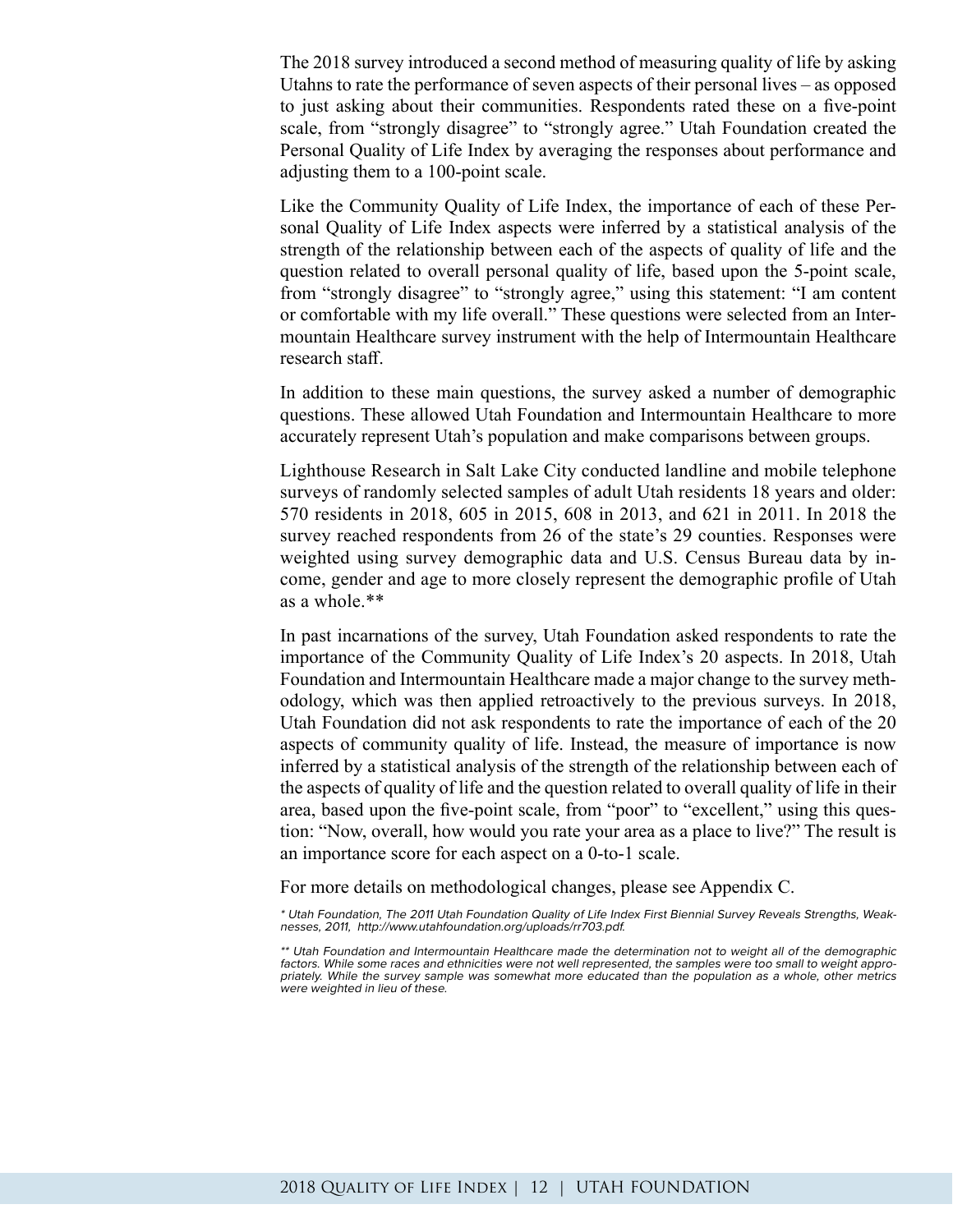The 2018 survey introduced a second method of measuring quality of life by asking Utahns to rate the performance of seven aspects of their personal lives – as opposed to just asking about their communities. Respondents rated these on a five-point scale, from "strongly disagree" to "strongly agree." Utah Foundation created the Personal Quality of Life Index by averaging the responses about performance and adjusting them to a 100-point scale.

Like the Community Quality of Life Index, the importance of each of these Personal Quality of Life Index aspects were inferred by a statistical analysis of the strength of the relationship between each of the aspects of quality of life and the question related to overall personal quality of life, based upon the 5-point scale, from "strongly disagree" to "strongly agree," using this statement: "I am content or comfortable with my life overall." These questions were selected from an Intermountain Healthcare survey instrument with the help of Intermountain Healthcare research staff.

In addition to these main questions, the survey asked a number of demographic questions. These allowed Utah Foundation and Intermountain Healthcare to more accurately represent Utah's population and make comparisons between groups.

Lighthouse Research in Salt Lake City conducted landline and mobile telephone surveys of randomly selected samples of adult Utah residents 18 years and older: 570 residents in 2018, 605 in 2015, 608 in 2013, and 621 in 2011. In 2018 the survey reached respondents from 26 of the state's 29 counties. Responses were weighted using survey demographic data and U.S. Census Bureau data by income, gender and age to more closely represent the demographic profile of Utah as a whole.\*\*

In past incarnations of the survey, Utah Foundation asked respondents to rate the importance of the Community Quality of Life Index's 20 aspects. In 2018, Utah Foundation and Intermountain Healthcare made a major change to the survey methodology, which was then applied retroactively to the previous surveys. In 2018, Utah Foundation did not ask respondents to rate the importance of each of the 20 aspects of community quality of life. Instead, the measure of importance is now inferred by a statistical analysis of the strength of the relationship between each of the aspects of quality of life and the question related to overall quality of life in their area, based upon the five-point scale, from "poor" to "excellent," using this question: "Now, overall, how would you rate your area as a place to live?" The result is an importance score for each aspect on a 0-to-1 scale.

For more details on methodological changes, please see Appendix C.

\* Utah Foundation, The 2011 Utah Foundation Quality of Life Index First Biennial Survey Reveals Strengths, Weaknesses, 2011, http://www.utahfoundation.org/uploads/rr703.pdf.

\*\* Utah Foundation and Intermountain Healthcare made the determination not to weight all of the demographic factors. While some races and ethnicities were not well represented, the samples were too small to weight appropriately. While the survey sample was somewhat more educated than the population as a whole, other metrics were weighted in lieu of these.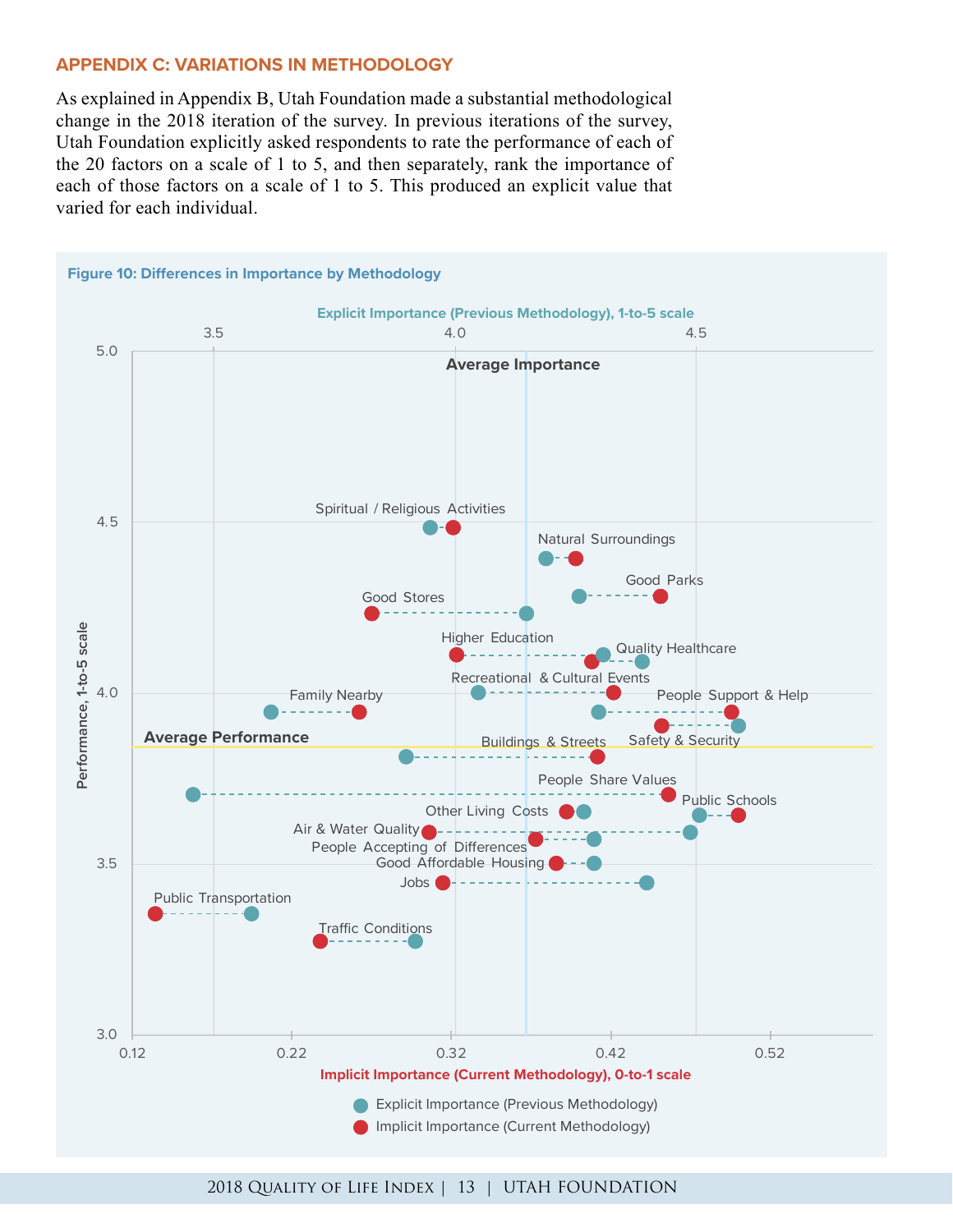#### **APPENDIX C: VARIATIONS IN METHODOLOGY**

As explained in Appendix B, Utah Foundation made a substantial methodological change in the 2018 iteration of the survey. In previous iterations of the survey, Utah Foundation explicitly asked respondents to rate the performance of each of the 20 factors on a scale of 1 to 5, and then separately, rank the importance of each of those factors on a scale of 1 to 5. This produced an explicit value that varied for each individual.

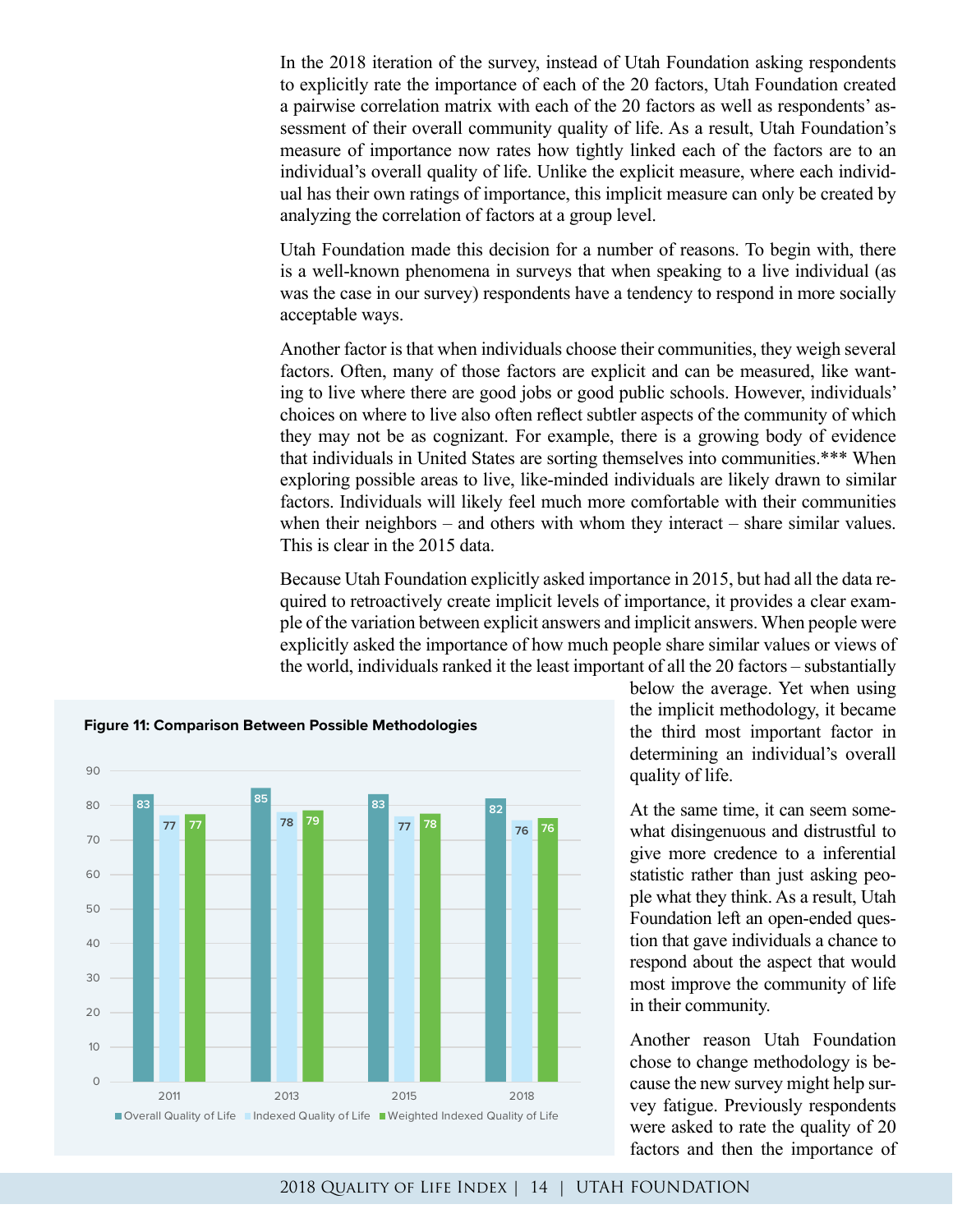In the 2018 iteration of the survey, instead of Utah Foundation asking respondents to explicitly rate the importance of each of the 20 factors, Utah Foundation created a pairwise correlation matrix with each of the 20 factors as well as respondents' assessment of their overall community quality of life. As a result, Utah Foundation's measure of importance now rates how tightly linked each of the factors are to an individual's overall quality of life. Unlike the explicit measure, where each individual has their own ratings of importance, this implicit measure can only be created by analyzing the correlation of factors at a group level.

Utah Foundation made this decision for a number of reasons. To begin with, there is a well-known phenomena in surveys that when speaking to a live individual (as was the case in our survey) respondents have a tendency to respond in more socially acceptable ways.

Another factor is that when individuals choose their communities, they weigh several factors. Often, many of those factors are explicit and can be measured, like wanting to live where there are good jobs or good public schools. However, individuals' choices on where to live also often reflect subtler aspects of the community of which they may not be as cognizant. For example, there is a growing body of evidence that individuals in United States are sorting themselves into communities.\*\*\* When exploring possible areas to live, like-minded individuals are likely drawn to similar factors. Individuals will likely feel much more comfortable with their communities when their neighbors – and others with whom they interact – share similar values. This is clear in the 2015 data.

Because Utah Foundation explicitly asked importance in 2015, but had all the data required to retroactively create implicit levels of importance, it provides a clear example of the variation between explicit answers and implicit answers. When people were explicitly asked the importance of how much people share similar values or views of the world, individuals ranked it the least important of all the 20 factors – substantially



below the average. Yet when using the implicit methodology, it became the third most important factor in determining an individual's overall quality of life.

At the same time, it can seem somewhat disingenuous and distrustful to give more credence to a inferential statistic rather than just asking people what they think. As a result, Utah Foundation left an open-ended question that gave individuals a chance to respond about the aspect that would most improve the community of life in their community.

Another reason Utah Foundation chose to change methodology is because the new survey might help survey fatigue. Previously respondents were asked to rate the quality of 20 factors and then the importance of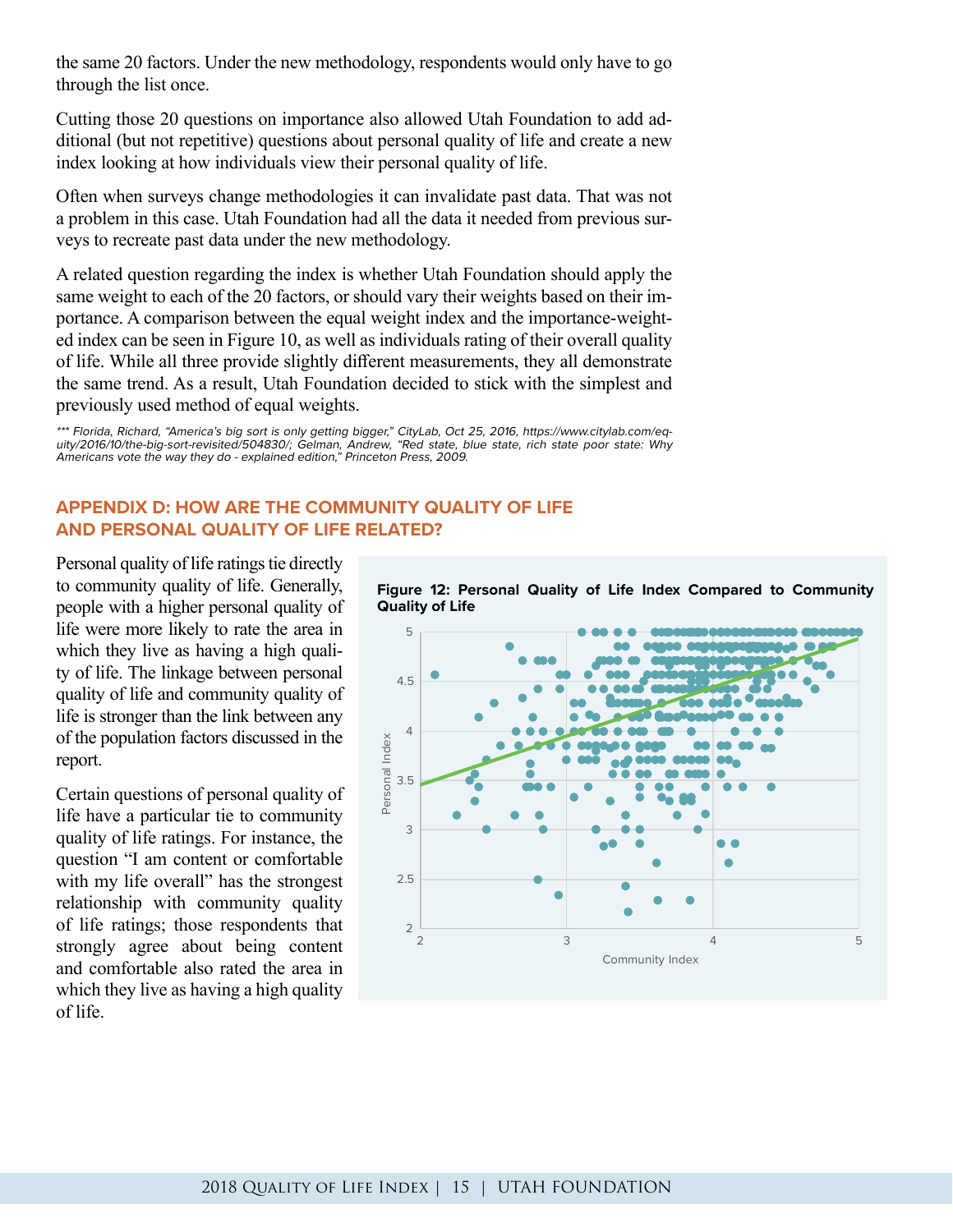the same 20 factors. Under the new methodology, respondents would only have to go through the list once.

Cutting those 20 questions on importance also allowed Utah Foundation to add additional (but not repetitive) questions about personal quality of life and create a new index looking at how individuals view their personal quality of life.

Often when surveys change methodologies it can invalidate past data. That was not a problem in this case. Utah Foundation had all the data it needed from previous surveys to recreate past data under the new methodology.

A related question regarding the index is whether Utah Foundation should apply the same weight to each of the 20 factors, or should vary their weights based on their importance. A comparison between the equal weight index and the importance-weighted index can be seen in Figure 10, as well as individuals rating of their overall quality of life. While all three provide slightly different measurements, they all demonstrate the same trend. As a result, Utah Foundation decided to stick with the simplest and previously used method of equal weights.

\*\*\* Florida, Richard, "America's big sort is only getting bigger," CityLab, Oct 25, 2016, https://www.citylab.com/equity/2016/10/the-big-sort-revisited/504830/; Gelman, Andrew, "Red state, blue state, rich state poor state: Why Americans vote the way they do - explained edition," Princeton Press, 2009.

# **APPENDIX D: HOW ARE THE COMMUNITY QUALITY OF LIFE AND PERSONAL QUALITY OF LIFE RELATED?**

Personal quality of life ratings tie directly to community quality of life. Generally, people with a higher personal quality of life were more likely to rate the area in which they live as having a high quality of life. The linkage between personal quality of life and community quality of life is stronger than the link between any of the population factors discussed in the report.

Certain questions of personal quality of life have a particular tie to community quality of life ratings. For instance, the question "I am content or comfortable with my life overall" has the strongest relationship with community quality of life ratings; those respondents that strongly agree about being content and comfortable also rated the area in which they live as having a high quality of life.



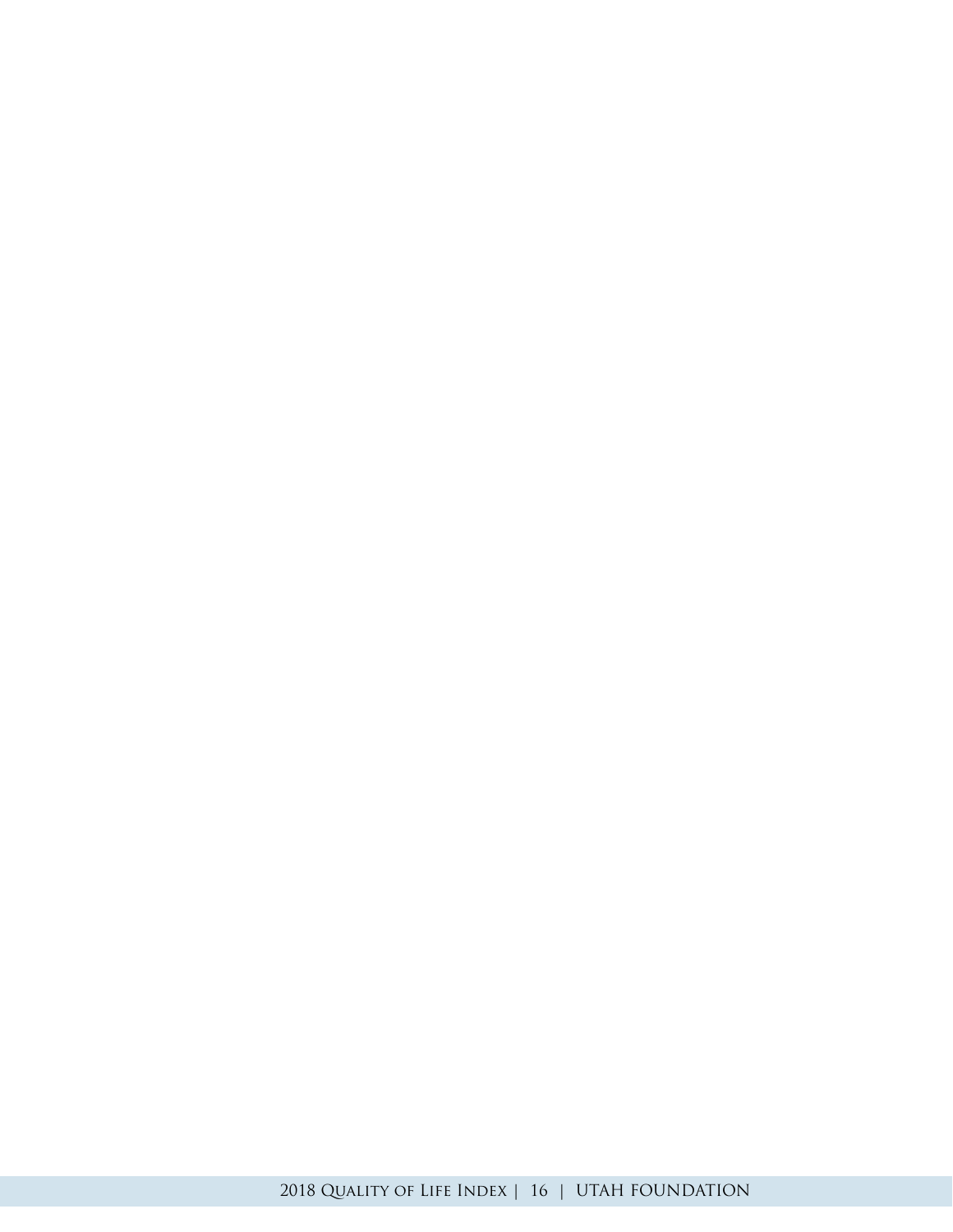2018 QUALITY OF LIFE INDEX | 16 | UTAH FOUNDATION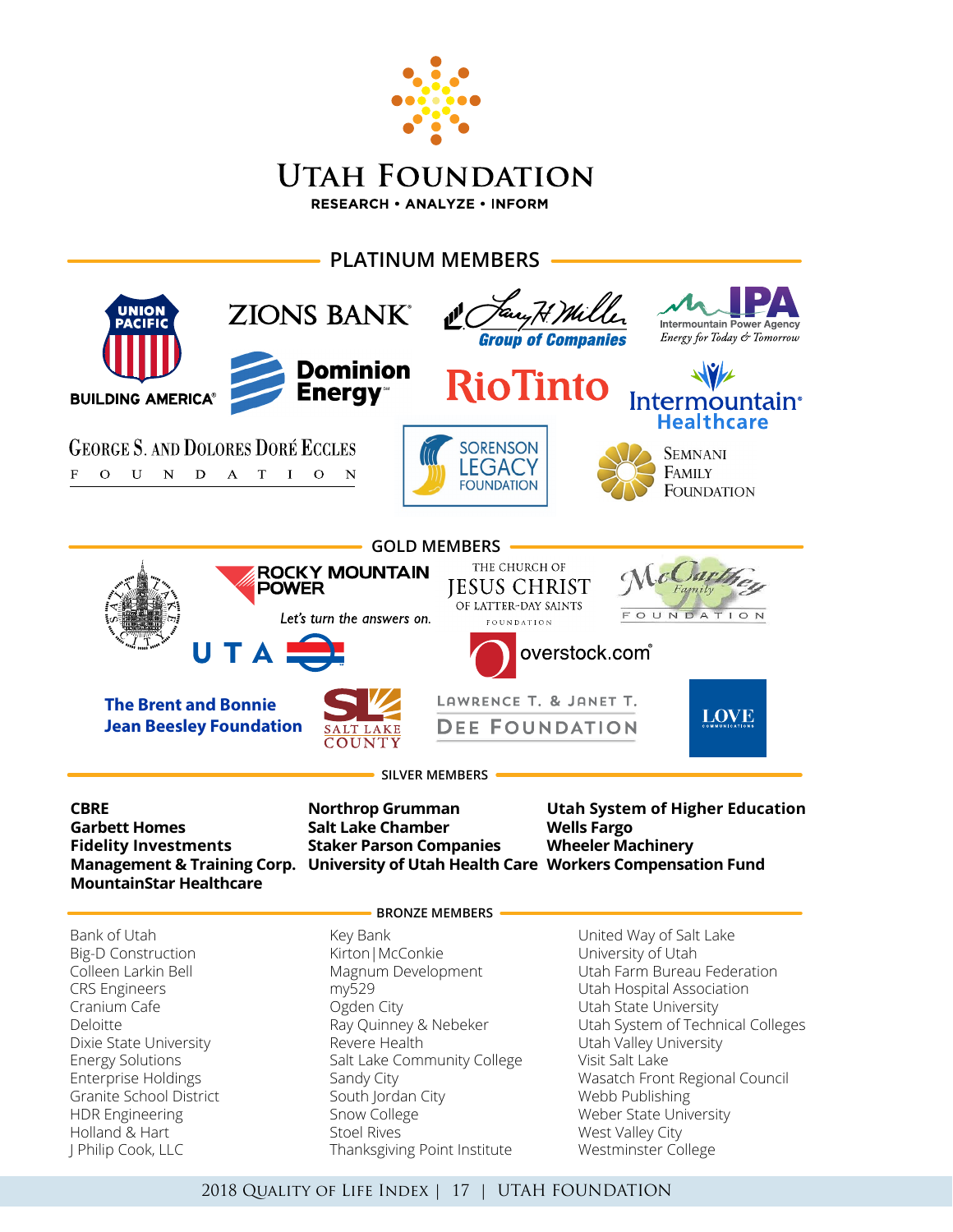

# **UTAH FOUNDATION** RESEARCH · ANALYZE · INFORM

**PLATINUM MEMBERS**



2018 QUALITY OF LIFE INDEX | 17 | UTAH FOUNDATION

Westminster College

Thanksgiving Point Institute

J Philip Cook, LLC